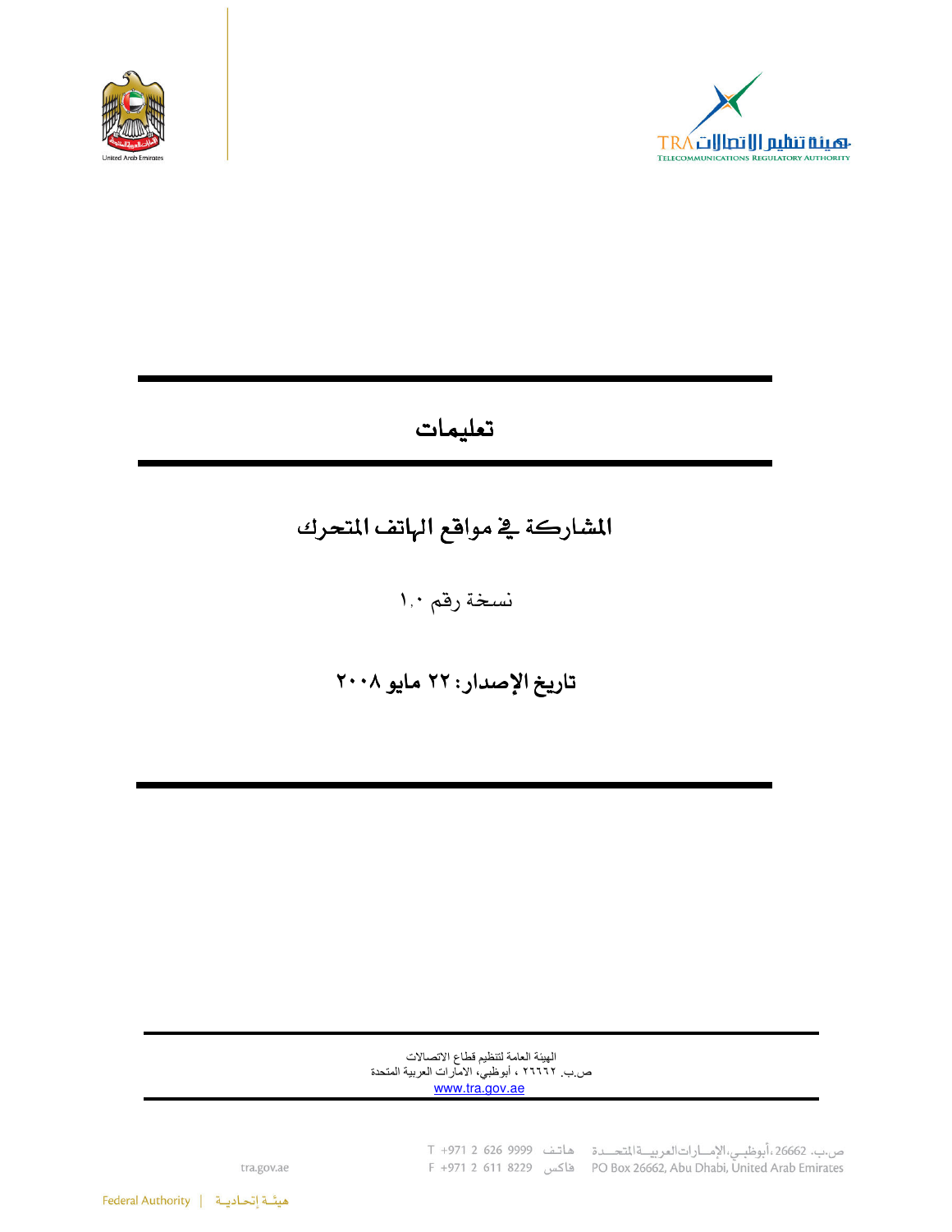



## تعليمات

# المشاركة في مواقع الهاتف المتحرك

نسخة رقم ١٫٠

تاريخ الإصدار: ٢٢ مايو ٢٠٠٨

الهيئة العامة لتنظيم قطاع الاتصالات ص ب ٢٦٦٦٦ ، أبوظبي، الأمارات العربية المتحدة<br><u>www.tra.gov.ae</u>

ص.ب. 26662،أبوظبـي،الإمـــارات|لعربيـــة|لمتحـــدة هاتـف 9999 626 7 1+971<br>PO Box 26662, Abu Dhabi, United Arab Emirates فاكس 8229 F +971 2 611

tra.gov.ae

هيئة إتحاديـة | Federal Authority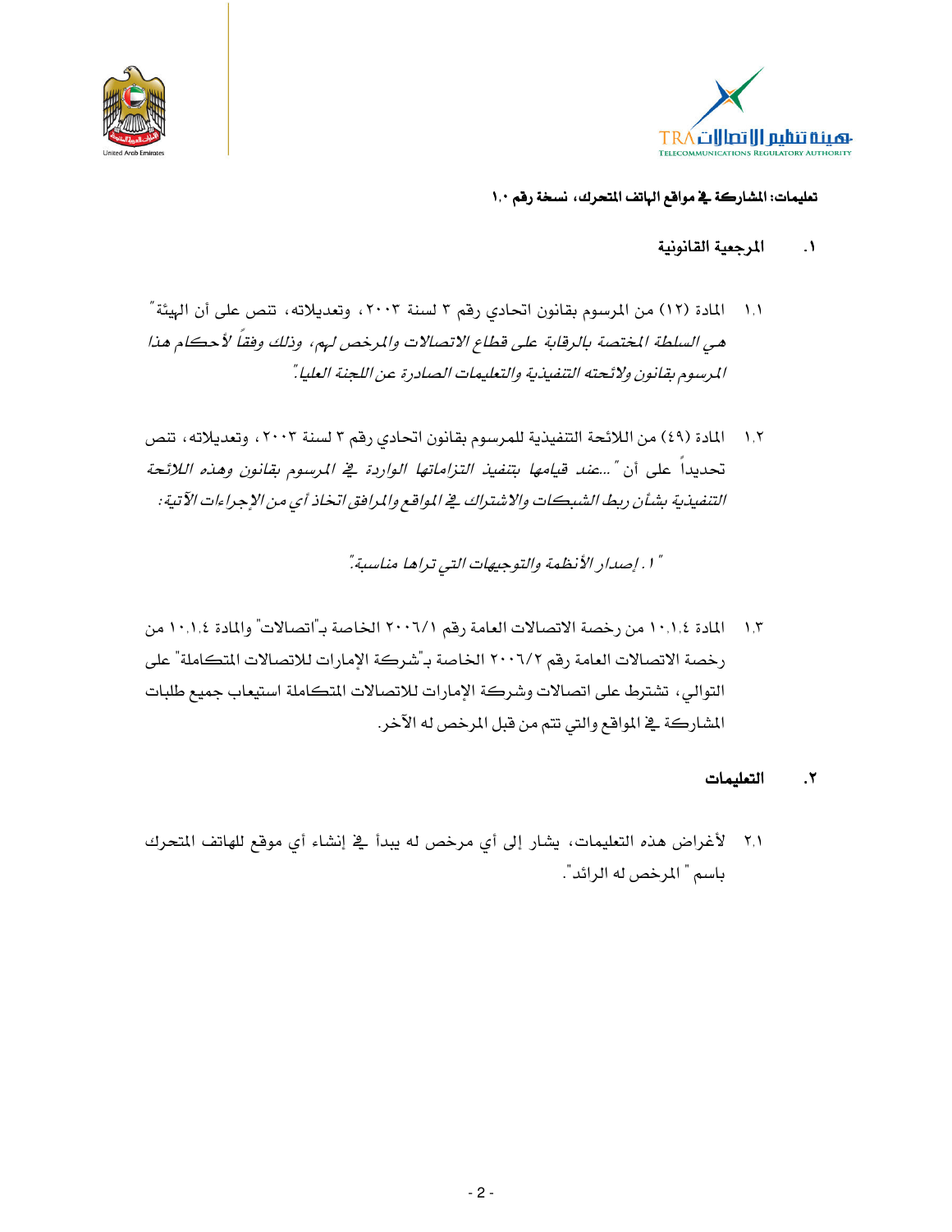



- المرجعية القانونية  $\blacksquare$
- ١,١ المادة (١٢) من المرسوم بقانون اتحادي رقم ٣ لسنة ٢٠٠٣، وتعديلاته، تنص على أن الهيئة " هي السلطة المختصة بالرقابة على قطاع الاتصالات والمرخص لهم، وذلك وفقاً لأحكام هذا المرسوم بقانون ولائحته التنفيذية والتعليمات الصادرة عن اللجنة العليا ".
- ١,٢ المادة (٤٩) من اللائحة التنفيذية للمرسوم بقانون اتحادي رقم ٣ لسنة ٢٠٠٣، وتعديلاته، تنص تحديداً على أن "...ع*ند قيامها بتنفيذ التزاماتها الواردة في المرسوم بقانون وهذه اللائحة* التنفيذية بشأن ريط الشبكات والاشتراك في المواقع والمرافق اتخاذ أي من الإجراءات الآتية :

" ١ . إصدار الأنظمة والتوجيهات التي تراها مناسبة".

١,٣ المادة ١٠,١,٤ من رخصة الاتصالات العامة رقم ٢٠٠٦/١ الخاصة بـ"اتصالات" والمادة ١٠,١,٤ من رخصة الاتصالات العامة رقم ٢٠٠٦/٢ الخاصة بـ"شركة الإمارات للاتصالات المتكاملة" على التوالي، تشترط على اتصالات وشركة الإمارات للاتصالات المتكاملة استيعاب جميع طلبات المشاركة في المواقع والتي تتم من قبل المرخص له الآخر.

#### التعليمات  $\mathbf{r}$

٢٫١ - لأغراض هذه التعليمات، يشار إلى أي مرخص له يبدأ في إنشاء أي موقع للهاتف المتحرك باسم " المرخص له الرائد".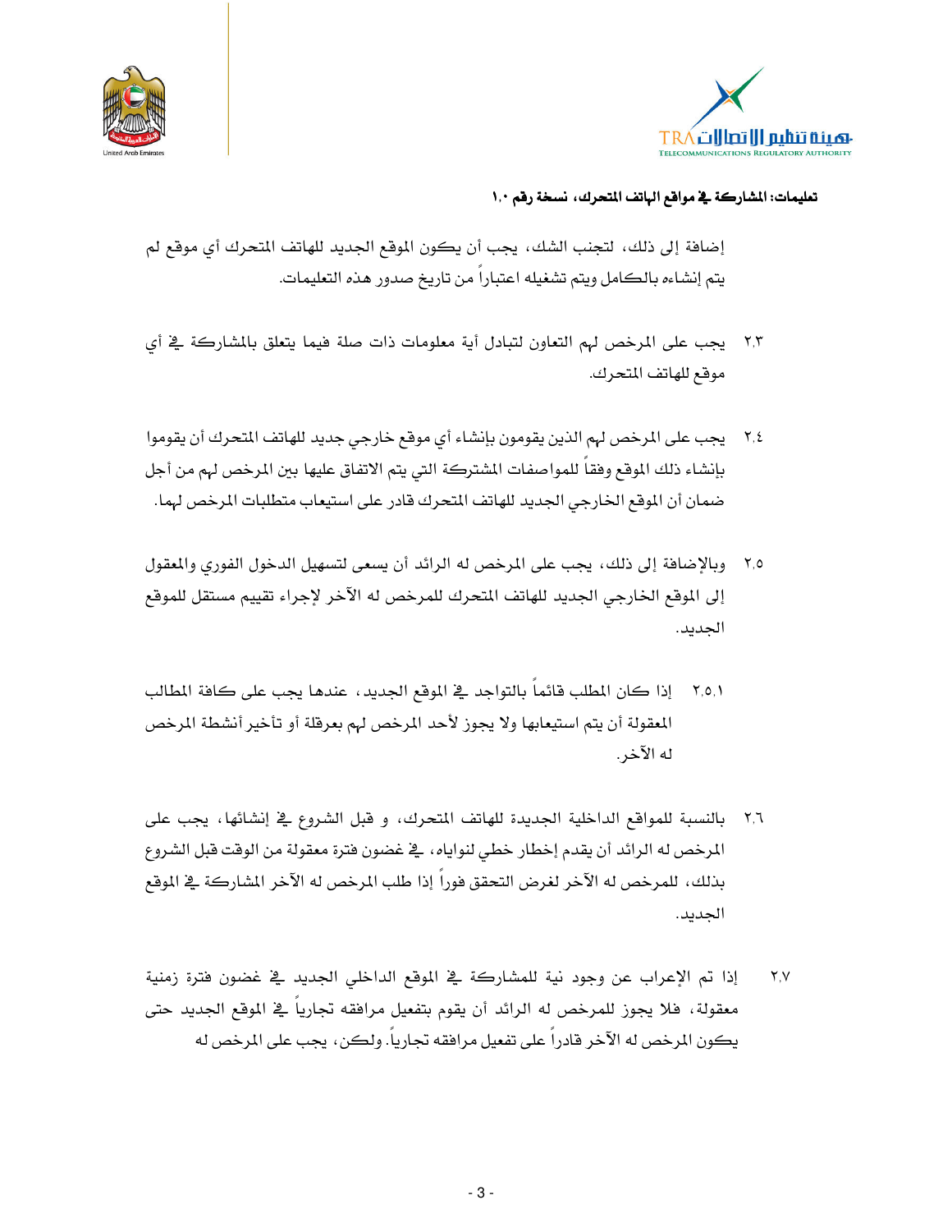



إضافة إلى ذلك، لتجنب الشك، يجب أن يكون الموقع الجديد للهاتف المتحرك أي موقع لم يتم إنشاءه بالكامل ويتم تشغيله اعتباراً من تاريخ صدور هذه التعليمات.

- ٢٫٣ يجب على المرخص لهم التعاون لتبادل أية معلومات ذات صلة فيما يتعلق بالمشاركة في أي موقع للهاتف المتحرك.
- ٢٫٤ يجب على المرخص لهم الذين يقومون بإنشاء أي موقع خارجي جديد للهاتف المتحرك أن يقوموا بإنشاء ذلك الموقع وفقا للمواصفات المشتركة التي يتم الاتفاق عليها بين المرخص لهم من أجل ضمان أن الموقع الخارجي الجديد للهاتف المتحرك قادر على استيعاب متطلبات المرخص لهما.
- ٢٫٥ وبالإضافة إلى ذلك، يجب على المرخص له الرائد أن يسعى لتسهيل الدخول الفوري والمعقول إلى الموقع الخارجي الجديد للهاتف المتحرك للمرخص له الآخر لإجراء تقييم مستقل للموقع الجديد.
- ٢,٥,١ إذا كان المطلب قائماً بالتواجد ـ2 الموقع الجديد ، عندها يجب على كافة المطالب المعقولة أن يتم استيعابها ولا يجوز لأحد المرخص لهم بعرفلة أو تأخير أنشطة المرخص له الآخر .
- ٢٫٦ بالنسبة للمواقع الداخلية الجديدة للهاتف المتحرك، و قبل الشروع في إنشائها، يجب على المرخص له الرائد أن يقدم إخطار خطي لنواياه، ﴾ غضون فترة معقولة من الوقت قبل الشروع بذلك، للمرخص له الآخر لغرض التحقق فوراً إذا طلب المرخص له الآخر المشاركة \_في الموقع الجديد.
- إذا تم الإعراب عن وجود نية للمشاركة في الموقع الداخلي الجديد في غضون فترة زمنية  $Y,Y$ معقولة، فلا يجوز للمرخص له الرائد أن يقوم بتفعيل مرافقه تجاريا في الموقع الجديد حتى يكون المرخص له الآخر قادراً على تفعيل مرافقه تجارياً. ولكن، يجب على المرخص له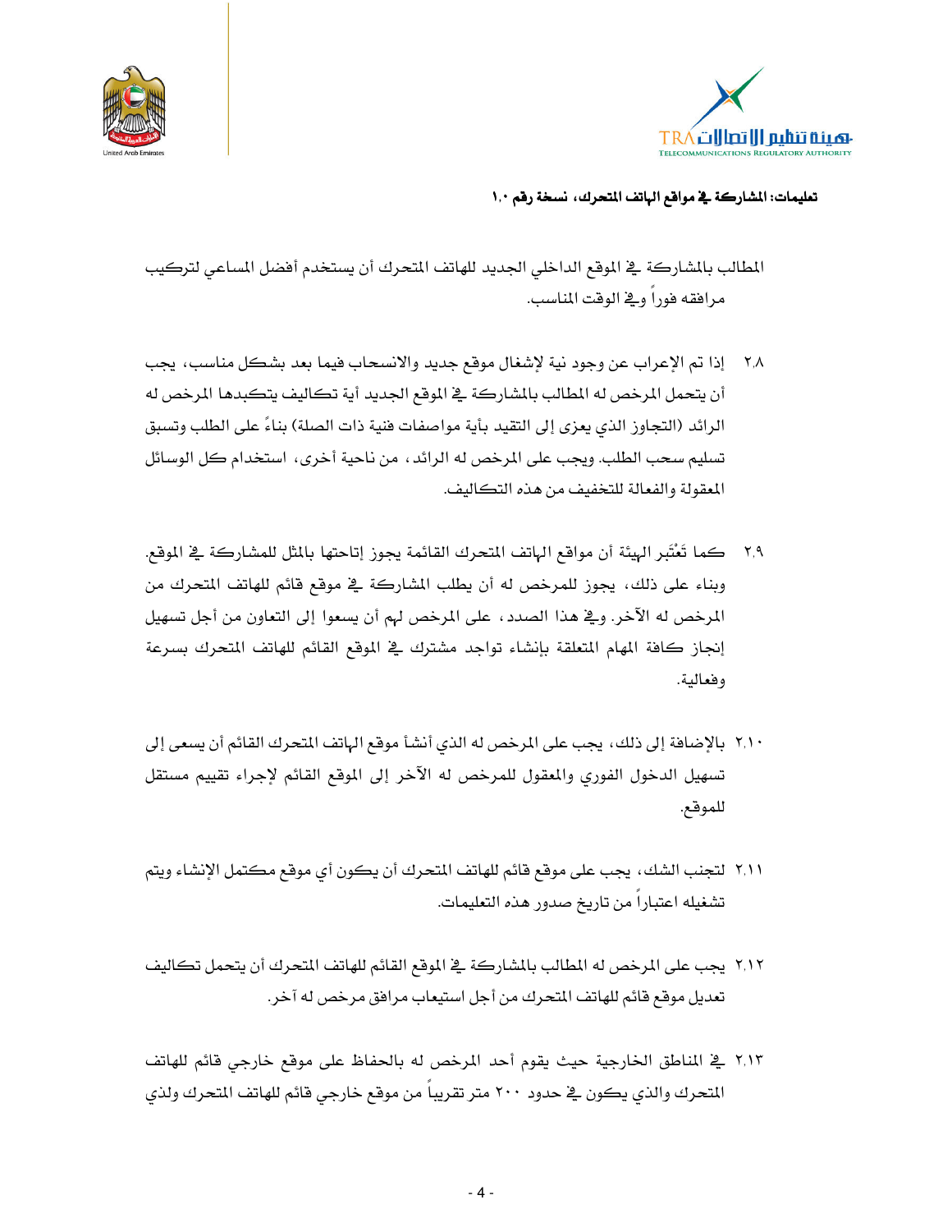



المطالب بالشاركة ﴾ الموقع الداخلي الجديد للهاتف المتحرك أن يستخدم أفضل المساعي لتركيب مرافقه فورا وية الوقت المناسب.

- ٢,٨ إذا تم الإعراب عن وجود نية لإشغال موقع جديد والانسحاب فيما بعد بشكل مناسب، يجب أن يتحمل المرخص له المطالب بالشاركة في الموقع الجديد أية تكاليف يتكبدها المرخص له الرائد (التجاوز الذي يعزي إلى التقيد بأية مواصفات فنية ذات الصلة) بناءً على الطلب وتسبق تسليم سحب الطلب. ويجب على المرخص له الرائد ، من ناحية أخرى ، استخدام كل الوسائل المعقولة والفعالة للتخفيف من هذه التكاليف.
- ٢,٩ كما تَعْتَبر الهيئة أن مواقع الهاتف المتحرك القائمة يجوز إتاحتها بالمثل للمشاركة في الموقع. وبناء على ذلك، يجوز للمرخص له أن يطلب المشاركة ڤ موقع قائم للهاتف المتحرك من المرخص له الآخر. ويَّ هذا الصدد ، على المرخص لهم أن يسعوا إلى التعاون من أجل تسهيل إنجاز كافة المهام المتعلقة بإنشاء تواجد مشترك في الموقع القائم للهاتف المتحرك بسرعة وفعالية.
- ٢,١٠ بالإضافة إلى ذلك، يجب على المرخص له الذي أنشأ موقع الهاتف المتحرك القائم أن يسعى إلى تسهيل الدخول الفورى والمعقول للمرخص له الآخر إلى الموقع القائم لإجراء تقييم مستقل للموقع.
- ٢,١١ لتجنب الشك، يجب على موقع قائم للهاتف المتحرك أن يكون أي موقع مكتمل الإنشاء ويتم تشغيله اعتباراً من تاريخ صدور هذه التعليمات.
- ٢,١٢ يجب على المرخص له المطالب بالشاركة ﴾ الموقع القائم للهاتف المتحرك أن يتحمل تكاليف تعديل موقع قائم للهاتف المتحرك من أجل استيعاب مرافق مرخص له آخر.
- ٢,١٣ \_ المناطق الخارجية حيث يقوم أحد المرخص له بالحفاظ على موقع خارجي قائم للهاتف المتحرك والذي يكون في حدود ٢٠٠ متر تقريبا من موقع خارجي قائم للهاتف المتحرك ولذي